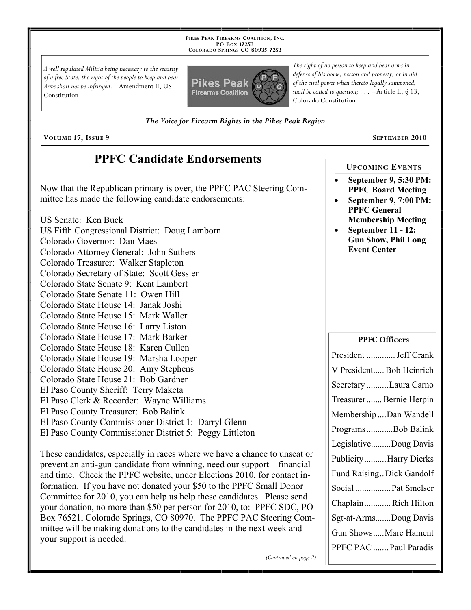**PIKES PEAK FIREARMS COALITION, INC. PO BOX 17253 COLORADO SPRINGS CO 80935 -7253**

*A well regulated Militia being necessary to the security of a free State, the right of the people to keep and bear Arms shall not be infringed.* --Amendment II, US Constitution



*The right of no person to keep and bear arms in defense of his home, person and property, or in aid of the civil power when thereto legally summoned, shall be called to question; . . .* --Article II, § 13, Colorado Constitution

*The Voice for Firearm Rights in the Pikes Peak Region*

**VOLUME 17, ISSUE 9 SEPTEMBER 2010**

## **PPFC Candidate Endorsements**

Now that the Republican primary is over, the PPFC PAC Steering Committee has made the following candidate endorsements:

US Senate: Ken Buck US Fifth Congressional District: Doug Lamborn Colorado Governor: Dan Maes Colorado Attorney General: John Suthers Colorado Treasurer: Walker Stapleton Colorado Secretary of State: Scott Gessler Colorado State Senate 9: Kent Lambert Colorado State Senate 11: Owen Hill Colorado State House 14: Janak Joshi Colorado State House 15: Mark Waller Colorado State House 16: Larry Liston Colorado State House 17: Mark Barker Colorado State House 18: Karen Cullen Colorado State House 19: Marsha Looper Colorado State House 20: Amy Stephens Colorado State House 21: Bob Gardner El Paso County Sheriff: Terry Maketa El Paso Clerk & Recorder: Wayne Williams El Paso County Treasurer: Bob Balink El Paso County Commissioner District 1: Darryl Glenn El Paso County Commissioner District 5: Peggy Littleton

These candidates, especially in races where we have a chance to unseat or prevent an anti-gun candidate from winning, need our support—financial and time. Check the PPFC website, under Elections 2010, for contact information. If you have not donated your \$50 to the PPFC Small Donor Committee for 2010, you can help us help these candidates. Please send your donation, no more than \$50 per person for 2010, to: PPFC SDC, PO Box 76521, Colorado Springs, CO 80970. The PPFC PAC Steering Committee will be making donations to the candidates in the next week and your support is needed.

*(Continued on page 2)*

#### **UPCOMING EVENTS**

- **September 9, 5:30 PM: PPFC Board Meeting**
- **September 9, 7:00 PM: PPFC General Membership Meeting**
- **September 11 12: Gun Show, Phil Long Event Center**

### **PPFC Officers**

| President  Jeff Crank     |
|---------------------------|
| V President Bob Heinrich  |
| Secretary Laura Carno     |
| Treasurer Bernie Herpin   |
| Membership Dan Wandell    |
| ProgramsBob Balink        |
| LegislativeDoug Davis     |
| Publicity Harry Dierks    |
| Fund Raising Dick Gandolf |
| Social  Pat Smelser       |
| Chaplain Rich Hilton      |
| Sgt-at-ArmsDoug Davis     |
| Gun ShowsMarc Hament      |
| PPFC PAC  Paul Paradis    |
|                           |